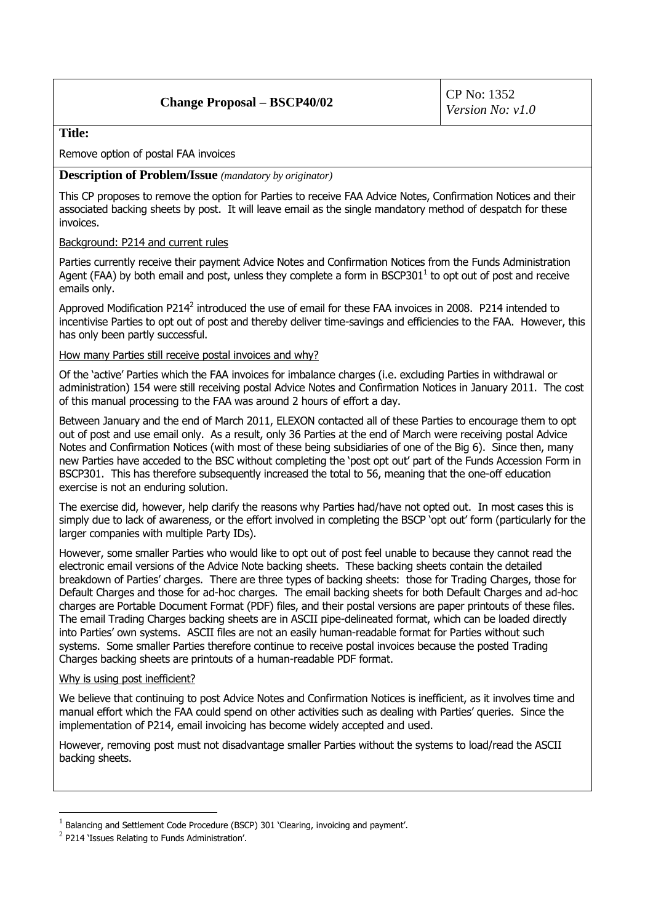## **Change Proposal – BSCP40/02**

### **Title:**

Remove option of postal FAA invoices

#### **Description of Problem/Issue** *(mandatory by originator)*

This CP proposes to remove the option for Parties to receive FAA Advice Notes, Confirmation Notices and their associated backing sheets by post. It will leave email as the single mandatory method of despatch for these invoices.

#### Background: P214 and current rules

Parties currently receive their payment Advice Notes and Confirmation Notices from the Funds Administration Agent (FAA) by both email and post, unless they complete a form in BSCP301 $^1$  to opt out of post and receive emails only.

Approved Modification P214<sup>2</sup> introduced the use of email for these FAA invoices in 2008. P214 intended to incentivise Parties to opt out of post and thereby deliver time-savings and efficiencies to the FAA. However, this has only been partly successful.

#### How many Parties still receive postal invoices and why?

Of the 'active' Parties which the FAA invoices for imbalance charges (i.e. excluding Parties in withdrawal or administration) 154 were still receiving postal Advice Notes and Confirmation Notices in January 2011. The cost of this manual processing to the FAA was around 2 hours of effort a day.

Between January and the end of March 2011, ELEXON contacted all of these Parties to encourage them to opt out of post and use email only. As a result, only 36 Parties at the end of March were receiving postal Advice Notes and Confirmation Notices (with most of these being subsidiaries of one of the Big 6). Since then, many new Parties have acceded to the BSC without completing the 'post opt out' part of the Funds Accession Form in BSCP301. This has therefore subsequently increased the total to 56, meaning that the one-off education exercise is not an enduring solution.

The exercise did, however, help clarify the reasons why Parties had/have not opted out. In most cases this is simply due to lack of awareness, or the effort involved in completing the BSCP 'opt out' form (particularly for the larger companies with multiple Party IDs).

However, some smaller Parties who would like to opt out of post feel unable to because they cannot read the electronic email versions of the Advice Note backing sheets. These backing sheets contain the detailed breakdown of Parties' charges. There are three types of backing sheets: those for Trading Charges, those for Default Charges and those for ad-hoc charges. The email backing sheets for both Default Charges and ad-hoc charges are Portable Document Format (PDF) files, and their postal versions are paper printouts of these files. The email Trading Charges backing sheets are in ASCII pipe-delineated format, which can be loaded directly into Parties' own systems. ASCII files are not an easily human-readable format for Parties without such systems. Some smaller Parties therefore continue to receive postal invoices because the posted Trading Charges backing sheets are printouts of a human-readable PDF format.

#### Why is using post inefficient?

<u>.</u>

We believe that continuing to post Advice Notes and Confirmation Notices is inefficient, as it involves time and manual effort which the FAA could spend on other activities such as dealing with Parties' queries. Since the implementation of P214, email invoicing has become widely accepted and used.

However, removing post must not disadvantage smaller Parties without the systems to load/read the ASCII backing sheets.

<sup>1</sup> Balancing and Settlement Code Procedure (BSCP) 301 'Clearing, invoicing and payment'.

 $^{2}$  P214 'Issues Relating to Funds Administration'.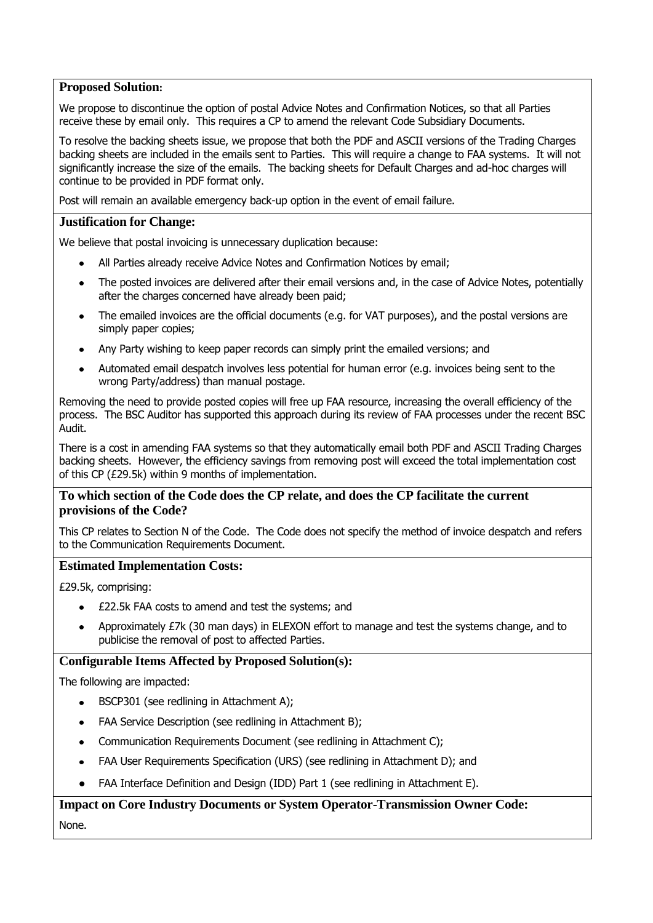## **Proposed Solution:**

We propose to discontinue the option of postal Advice Notes and Confirmation Notices, so that all Parties receive these by email only. This requires a CP to amend the relevant Code Subsidiary Documents.

To resolve the backing sheets issue, we propose that both the PDF and ASCII versions of the Trading Charges backing sheets are included in the emails sent to Parties. This will require a change to FAA systems. It will not significantly increase the size of the emails. The backing sheets for Default Charges and ad-hoc charges will continue to be provided in PDF format only.

Post will remain an available emergency back-up option in the event of email failure.

### **Justification for Change:**

We believe that postal invoicing is unnecessary duplication because:

- All Parties already receive Advice Notes and Confirmation Notices by email;
- The posted invoices are delivered after their email versions and, in the case of Advice Notes, potentially after the charges concerned have already been paid;
- The emailed invoices are the official documents (e.g. for VAT purposes), and the postal versions are simply paper copies;
- Any Party wishing to keep paper records can simply print the emailed versions; and
- Automated email despatch involves less potential for human error (e.g. invoices being sent to the wrong Party/address) than manual postage.

Removing the need to provide posted copies will free up FAA resource, increasing the overall efficiency of the process. The BSC Auditor has supported this approach during its review of FAA processes under the recent BSC Audit.

There is a cost in amending FAA systems so that they automatically email both PDF and ASCII Trading Charges backing sheets. However, the efficiency savings from removing post will exceed the total implementation cost of this CP (£29.5k) within 9 months of implementation.

## **To which section of the Code does the CP relate, and does the CP facilitate the current provisions of the Code?**

This CP relates to Section N of the Code. The Code does not specify the method of invoice despatch and refers to the Communication Requirements Document.

#### **Estimated Implementation Costs:**

£29.5k, comprising:

- £22.5k FAA costs to amend and test the systems; and
- Approximately £7k (30 man days) in ELEXON effort to manage and test the systems change, and to publicise the removal of post to affected Parties.

#### **Configurable Items Affected by Proposed Solution(s):**

The following are impacted:

- BSCP301 (see redlining in Attachment A);
- FAA Service Description (see redlining in Attachment B);  $\bullet$
- Communication Requirements Document (see redlining in Attachment C);  $\bullet$
- FAA User Requirements Specification (URS) (see redlining in Attachment D); and  $\bullet$
- FAA Interface Definition and Design (IDD) Part 1 (see redlining in Attachment E).

# **Impact on Core Industry Documents or System Operator-Transmission Owner Code:** None.